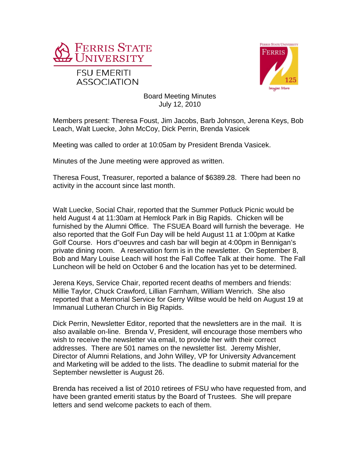



Board Meeting Minutes July 12, 2010

Members present: Theresa Foust, Jim Jacobs, Barb Johnson, Jerena Keys, Bob Leach, Walt Luecke, John McCoy, Dick Perrin, Brenda Vasicek

Meeting was called to order at 10:05am by President Brenda Vasicek.

Minutes of the June meeting were approved as written.

Theresa Foust, Treasurer, reported a balance of \$6389.28. There had been no activity in the account since last month.

Walt Luecke, Social Chair, reported that the Summer Potluck Picnic would be held August 4 at 11:30am at Hemlock Park in Big Rapids. Chicken will be furnished by the Alumni Office. The FSUEA Board will furnish the beverage. He also reported that the Golf Fun Day will be held August 11 at 1:00pm at Katke Golf Course. Hors d"oeuvres and cash bar will begin at 4:00pm in Bennigan's private dining room. A reservation form is in the newsletter. On September 8, Bob and Mary Louise Leach will host the Fall Coffee Talk at their home. The Fall Luncheon will be held on October 6 and the location has yet to be determined.

Jerena Keys, Service Chair, reported recent deaths of members and friends: Millie Taylor, Chuck Crawford, Lillian Farnham, William Wenrich. She also reported that a Memorial Service for Gerry Wiltse would be held on August 19 at Immanual Lutheran Church in Big Rapids.

Dick Perrin, Newsletter Editor, reported that the newsletters are in the mail. It is also available on-line. Brenda V, President, will encourage those members who wish to receive the newsletter via email, to provide her with their correct addresses. There are 501 names on the newsletter list. Jeremy Mishler, Director of Alumni Relations, and John Willey, VP for University Advancement and Marketing will be added to the lists. The deadline to submit material for the September newsletter is August 26.

Brenda has received a list of 2010 retirees of FSU who have requested from, and have been granted emeriti status by the Board of Trustees. She will prepare letters and send welcome packets to each of them.